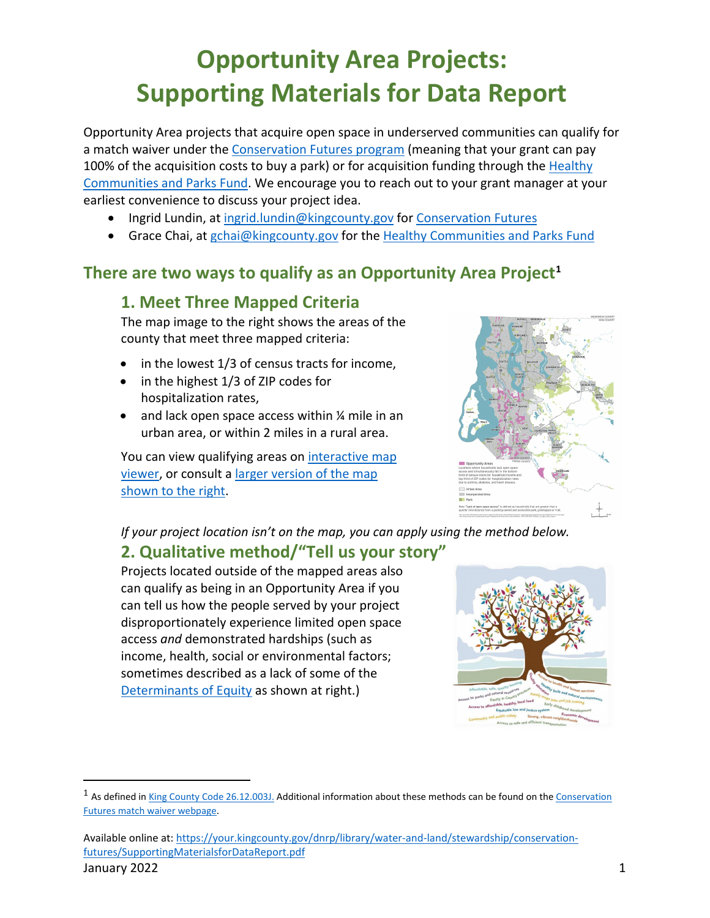# **Opportunity Area Projects: Supporting Materials for Data Report**

Opportunity Area projects that acquire open space in underserved communities can qualify for a match waiver under the [Conservation Futures program](https://kingcounty.gov/services/environment/stewardship/conservation-futures.aspx) (meaning that your grant can pay 100% of the acquisition costs to buy a park) or for acquisition funding through the Healthy [Communities and Parks Fund.](https://kingcounty.gov/services/parks-recreation/parks/get-involved/partnerships-and-grants/levygrants.aspx) We encourage you to reach out to your grant manager at your earliest convenience to discuss your project idea.

- Ingrid Lundin, at [ingrid.lundin@kingcounty.gov](mailto:ingrid.lundin@kingcounty.gov) for [Conservation Futures](https://kingcounty.gov/services/environment/stewardship/conservation-futures.aspx)
- Grace Chai, at [gchai@kingcounty.gov](mailto:GCcai@kingcounty.gov) for the [Healthy Communities and Parks Fund](https://kingcounty.gov/services/parks-recreation/parks/get-involved/partnerships-and-grants/levygrants.aspx)

## **There are two ways to qualify as an Opportunity Area Project[1](#page-0-0)**

#### **1. Meet Three Mapped Criteria**

The map image to the right shows the areas of the county that meet three mapped criteria:

- in the lowest 1/3 of census tracts for income,
- in the highest 1/3 of ZIP codes for hospitalization rates,
- and lack open space access within 1/4 mile in an urban area, or within 2 miles in a rural area.

You can view qualifying areas on interactive map [viewer,](https://kingcounty.maps.arcgis.com/apps/webappviewer/index.html?id=4cd797c007b84aaeb4b16bc8f1556703) or consult a [larger version of the map](https://kingcounty.gov/services/environment/water-and-land/land-conservation/equity/Map.aspx)  [shown to the right.](https://kingcounty.gov/services/environment/water-and-land/land-conservation/equity/Map.aspx)



*If your project location isn't on the map, you can apply using the method below.*

#### **2. Qualitative method/"Tell us your story"**

Projects located outside of the mapped areas also can qualify as being in an Opportunity Area if you can tell us how the people served by your project disproportionately experience limited open space access *and* demonstrated hardships (such as income, health, social or environmental factors; sometimes described as a lack of some of the [Determinants of Equity](https://kingcounty.gov/%7E/media/elected/executive/equity-social-justice/DeterminantsofEquityPoster.ashx?la=en) as shown at right.)



<span id="page-0-0"></span><sup>&</sup>lt;sup>1</sup> As defined i[n King County Code 26.12.003J.](https://aqua.kingcounty.gov/council/clerk/code/35_Title_26.htm#_Toc470006157) Additional information about these methods can be found on the Conservation [Futures match waiver webpage.](https://kingcounty.gov/services/environment/stewardship/conservation-futures/match-waiver.aspx)

Available online at: [https://your.kingcounty.gov/dnrp/library/water-and-land/stewardship/conservation](https://your.kingcounty.gov/dnrp/library/water-and-land/stewardship/conservation-futures/SupportingMaterialsforDataReport.pdf)[futures/SupportingMaterialsforDataReport.pdf](https://your.kingcounty.gov/dnrp/library/water-and-land/stewardship/conservation-futures/SupportingMaterialsforDataReport.pdf)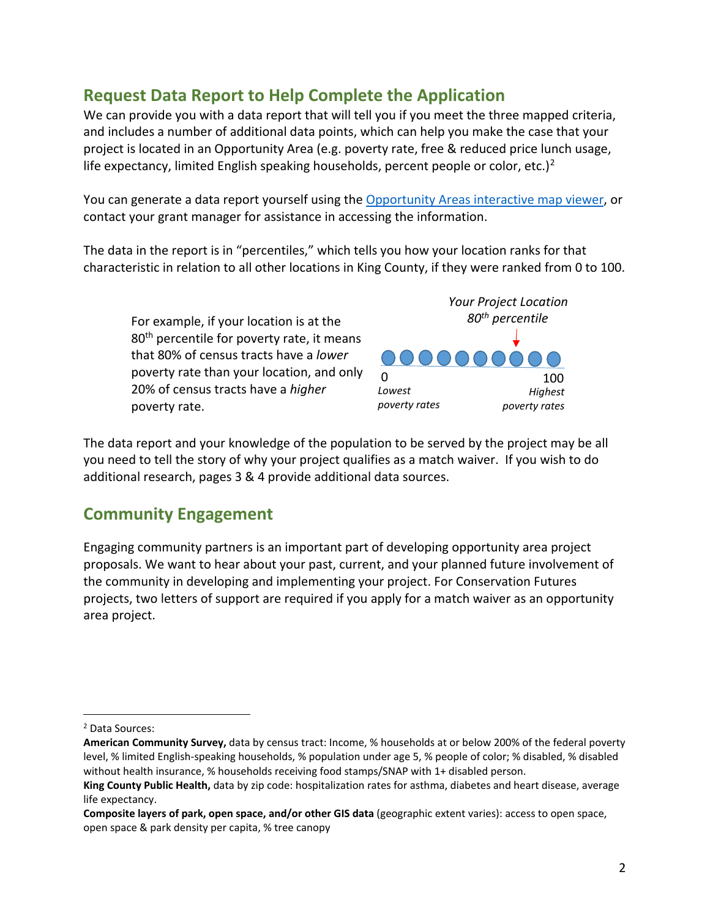# **Request Data Report to Help Complete the Application**

We can provide you with a data report that will tell you if you meet the three mapped criteria, and includes a number of additional data points, which can help you make the case that your project is located in an Opportunity Area (e.g. poverty rate, free & reduced price lunch usage, life expectancy, limited English speaking households, percent people or color, etc.)<sup>[2](#page-1-0)</sup>

You can generate a data report yourself using th[e Opportunity Areas interactive map viewer,](https://kingcounty.maps.arcgis.com/apps/webappviewer/index.html?id=4cd797c007b84aaeb4b16bc8f1556703) or contact your grant manager for assistance in accessing the information.

The data in the report is in "percentiles," which tells you how your location ranks for that characteristic in relation to all other locations in King County, if they were ranked from 0 to 100.

For example, if your location is at the 80<sup>th</sup> percentile for poverty rate, it means that 80% of census tracts have a *lower* poverty rate than your location, and only 20% of census tracts have a *higher* poverty rate.



The data report and your knowledge of the population to be served by the project may be all you need to tell the story of why your project qualifies as a match waiver. If you wish to do additional research, pages 3 & 4 provide additional data sources.

### **Community Engagement**

Engaging community partners is an important part of developing opportunity area project proposals. We want to hear about your past, current, and your planned future involvement of the community in developing and implementing your project. For Conservation Futures projects, two letters of support are required if you apply for a match waiver as an opportunity area project.

<span id="page-1-0"></span><sup>2</sup> Data Sources:

**American Community Survey,** data by census tract: Income, % households at or below 200% of the federal poverty level, % limited English-speaking households, % population under age 5, % people of color; % disabled, % disabled without health insurance, % households receiving food stamps/SNAP with 1+ disabled person.

**King County Public Health,** data by zip code: hospitalization rates for asthma, diabetes and heart disease, average life expectancy.

**Composite layers of park, open space, and/or other GIS data** (geographic extent varies): access to open space, open space & park density per capita, % tree canopy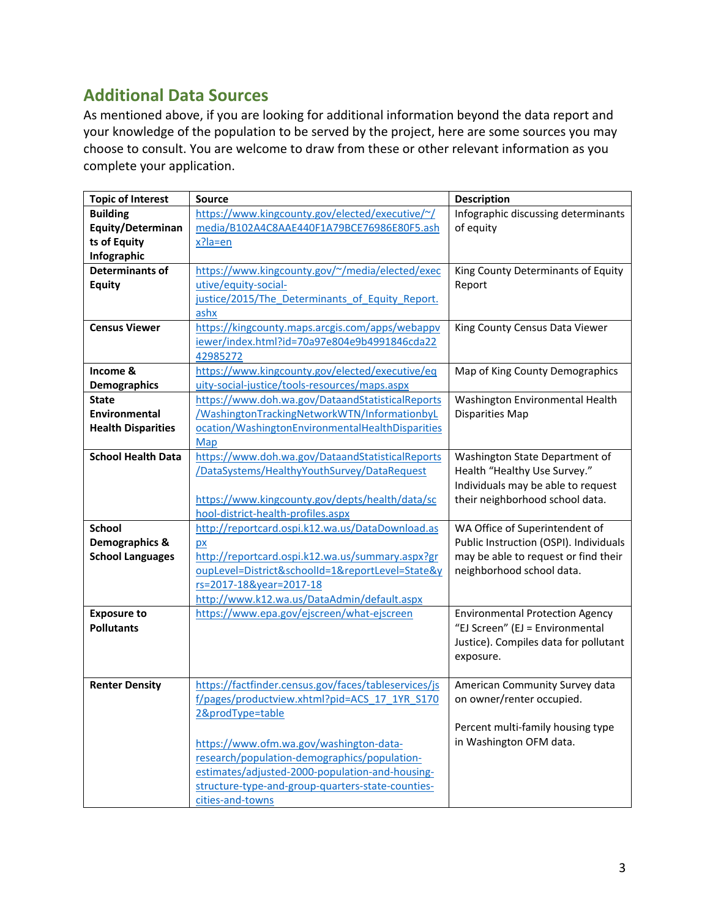# **Additional Data Sources**

As mentioned above, if you are looking for additional information beyond the data report and your knowledge of the population to be served by the project, here are some sources you may choose to consult. You are welcome to draw from these or other relevant information as you complete your application.

| <b>Topic of Interest</b>  | <b>Source</b>                                                     | <b>Description</b>                     |
|---------------------------|-------------------------------------------------------------------|----------------------------------------|
| <b>Building</b>           | https://www.kingcounty.gov/elected/executive/~/                   | Infographic discussing determinants    |
| Equity/Determinan         | media/B102A4C8AAE440F1A79BCE76986E80F5.ash                        | of equity                              |
| ts of Equity              | x?la=en                                                           |                                        |
| Infographic               |                                                                   |                                        |
| <b>Determinants of</b>    | https://www.kingcounty.gov/~/media/elected/exec                   | King County Determinants of Equity     |
| <b>Equity</b>             | utive/equity-social-                                              | Report                                 |
|                           | justice/2015/The Determinants of Equity Report.                   |                                        |
|                           | ashx                                                              |                                        |
| <b>Census Viewer</b>      | https://kingcounty.maps.arcgis.com/apps/webappv                   | King County Census Data Viewer         |
|                           | iewer/index.html?id=70a97e804e9b4991846cda22                      |                                        |
|                           | 42985272                                                          |                                        |
| Income &                  | https://www.kingcounty.gov/elected/executive/eq                   | Map of King County Demographics        |
| <b>Demographics</b>       | uity-social-justice/tools-resources/maps.aspx                     |                                        |
| <b>State</b>              | https://www.doh.wa.gov/DataandStatisticalReports                  | Washington Environmental Health        |
| Environmental             | /WashingtonTrackingNetworkWTN/InformationbyL                      | <b>Disparities Map</b>                 |
| <b>Health Disparities</b> | ocation/WashingtonEnvironmentalHealthDisparities                  |                                        |
|                           | Map                                                               |                                        |
| <b>School Health Data</b> | https://www.doh.wa.gov/DataandStatisticalReports                  | Washington State Department of         |
|                           | /DataSystems/HealthyYouthSurvey/DataRequest                       | Health "Healthy Use Survey."           |
|                           |                                                                   | Individuals may be able to request     |
|                           | https://www.kingcounty.gov/depts/health/data/sc                   | their neighborhood school data.        |
|                           | hool-district-health-profiles.aspx                                |                                        |
| <b>School</b>             | http://reportcard.ospi.k12.wa.us/DataDownload.as                  | WA Office of Superintendent of         |
| Demographics &            | px                                                                | Public Instruction (OSPI). Individuals |
| <b>School Languages</b>   | http://reportcard.ospi.k12.wa.us/summary.aspx?gr                  | may be able to request or find their   |
|                           | oupLevel=District&schoolId=1&reportLevel=State&y                  | neighborhood school data.              |
|                           | rs=2017-18&year=2017-18                                           |                                        |
|                           | http://www.k12.wa.us/DataAdmin/default.aspx                       |                                        |
| <b>Exposure to</b>        | https://www.epa.gov/ejscreen/what-ejscreen                        | <b>Environmental Protection Agency</b> |
| <b>Pollutants</b>         |                                                                   | "EJ Screen" (EJ = Environmental        |
|                           |                                                                   | Justice). Compiles data for pollutant  |
|                           |                                                                   | exposure.                              |
|                           |                                                                   |                                        |
| <b>Renter Density</b>     | https://factfinder.census.gov/faces/tableservices/js              | American Community Survey data         |
|                           | f/pages/productview.xhtml?pid=ACS 17 1YR S170<br>2&prodType=table | on owner/renter occupied.              |
|                           |                                                                   |                                        |
|                           |                                                                   | Percent multi-family housing type      |
|                           | https://www.ofm.wa.gov/washington-data-                           | in Washington OFM data.                |
|                           | research/population-demographics/population-                      |                                        |
|                           | estimates/adjusted-2000-population-and-housing-                   |                                        |
|                           | structure-type-and-group-quarters-state-counties-                 |                                        |
|                           | cities-and-towns                                                  |                                        |